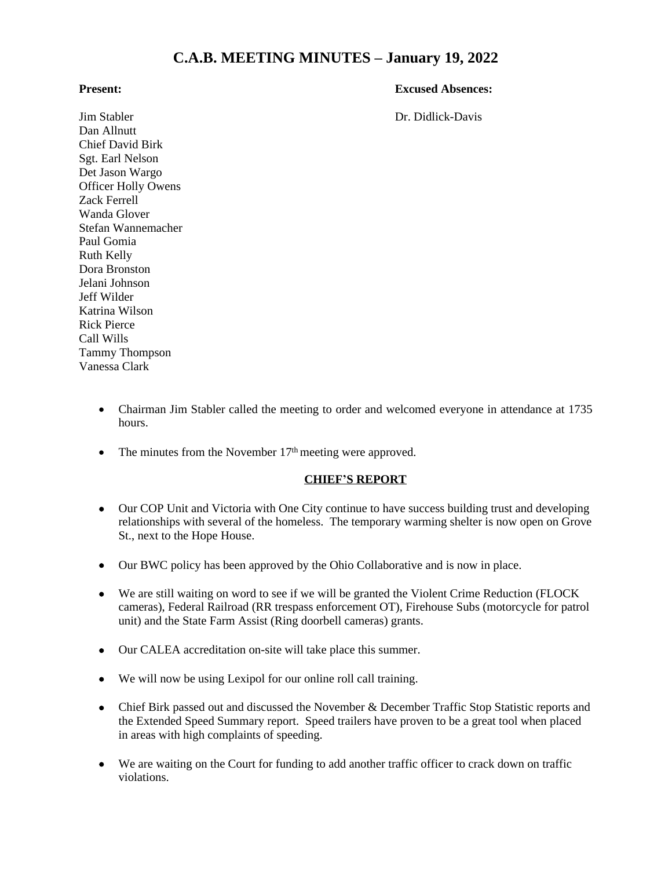# **C.A.B. MEETING MINUTES – January 19, 2022**

#### **Present: Excused Absences:**

Jim Stabler Dr. Didlick-Davis Dan Allnutt Chief David Birk Sgt. Earl Nelson Det Jason Wargo Officer Holly Owens Zack Ferrell Wanda Glover Stefan Wannemacher Paul Gomia Ruth Kelly Dora Bronston Jelani Johnson Jeff Wilder Katrina Wilson Rick Pierce Call Wills Tammy Thompson Vanessa Clark

- Chairman Jim Stabler called the meeting to order and welcomed everyone in attendance at 1735 hours.
- The minutes from the November  $17<sup>th</sup>$  meeting were approved.

### **CHIEF'S REPORT**

- Our COP Unit and Victoria with One City continue to have success building trust and developing relationships with several of the homeless. The temporary warming shelter is now open on Grove St., next to the Hope House.
- Our BWC policy has been approved by the Ohio Collaborative and is now in place.
- We are still waiting on word to see if we will be granted the Violent Crime Reduction (FLOCK cameras), Federal Railroad (RR trespass enforcement OT), Firehouse Subs (motorcycle for patrol unit) and the State Farm Assist (Ring doorbell cameras) grants.
- Our CALEA accreditation on-site will take place this summer.
- We will now be using Lexipol for our online roll call training.
- Chief Birk passed out and discussed the November & December Traffic Stop Statistic reports and the Extended Speed Summary report. Speed trailers have proven to be a great tool when placed in areas with high complaints of speeding.
- We are waiting on the Court for funding to add another traffic officer to crack down on traffic violations.